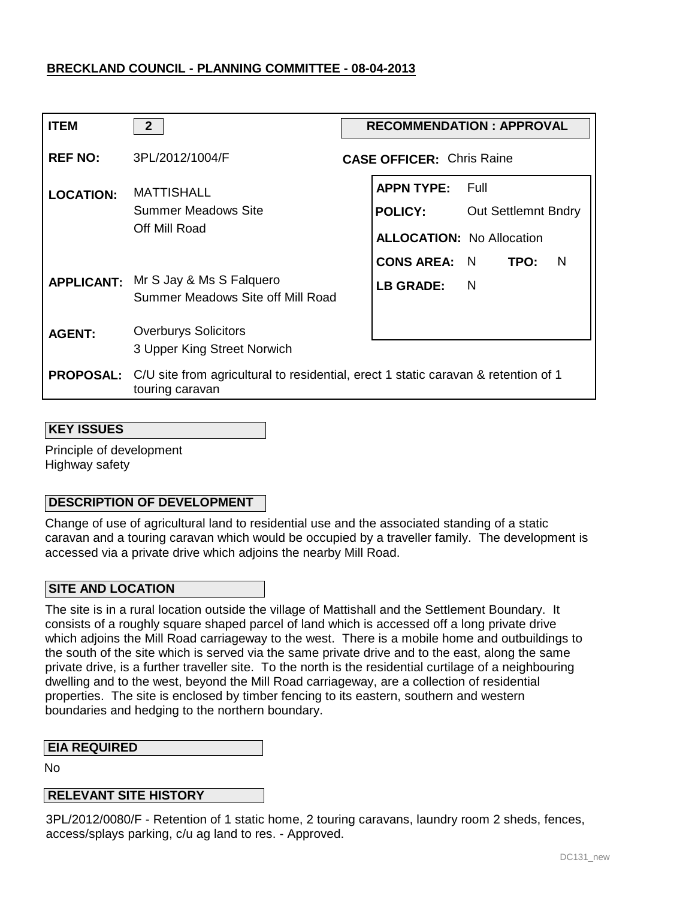| <b>ITEM</b>      | $\overline{2}$                                                                                        | <b>RECOMMENDATION: APPROVAL</b> |                                  |                            |
|------------------|-------------------------------------------------------------------------------------------------------|---------------------------------|----------------------------------|----------------------------|
| <b>REF NO:</b>   | 3PL/2012/1004/F                                                                                       |                                 | <b>CASE OFFICER: Chris Raine</b> |                            |
| <b>LOCATION:</b> | <b>MATTISHALL</b><br><b>Summer Meadows Site</b><br>Off Mill Road                                      |                                 | <b>APPN TYPE:</b>                | – Full                     |
|                  |                                                                                                       |                                 | <b>POLICY:</b>                   | <b>Out Settlemnt Bndry</b> |
|                  |                                                                                                       |                                 | <b>ALLOCATION: No Allocation</b> |                            |
|                  |                                                                                                       |                                 | CONS AREA: N TPO:                | N                          |
|                  | <b>APPLICANT:</b> Mr S Jay & Ms S Falquero<br>Summer Meadows Site off Mill Road                       |                                 | LB GRADE:                        | $\overline{N}$             |
| <b>AGENT:</b>    | <b>Overburys Solicitors</b>                                                                           |                                 |                                  |                            |
|                  | 3 Upper King Street Norwich                                                                           |                                 |                                  |                            |
| <b>PROPOSAL:</b> | C/U site from agricultural to residential, erect 1 static caravan & retention of 1<br>touring caravan |                                 |                                  |                            |

#### **KEY ISSUES**

Principle of development Highway safety

### **DESCRIPTION OF DEVELOPMENT**

Change of use of agricultural land to residential use and the associated standing of a static caravan and a touring caravan which would be occupied by a traveller family. The development is accessed via a private drive which adjoins the nearby Mill Road.

### **SITE AND LOCATION**

The site is in a rural location outside the village of Mattishall and the Settlement Boundary. It consists of a roughly square shaped parcel of land which is accessed off a long private drive which adjoins the Mill Road carriageway to the west. There is a mobile home and outbuildings to the south of the site which is served via the same private drive and to the east, along the same private drive, is a further traveller site. To the north is the residential curtilage of a neighbouring dwelling and to the west, beyond the Mill Road carriageway, are a collection of residential properties. The site is enclosed by timber fencing to its eastern, southern and western boundaries and hedging to the northern boundary.

#### **EIA REQUIRED**

No

### **RELEVANT SITE HISTORY**

3PL/2012/0080/F - Retention of 1 static home, 2 touring caravans, laundry room 2 sheds, fences, access/splays parking, c/u ag land to res. - Approved.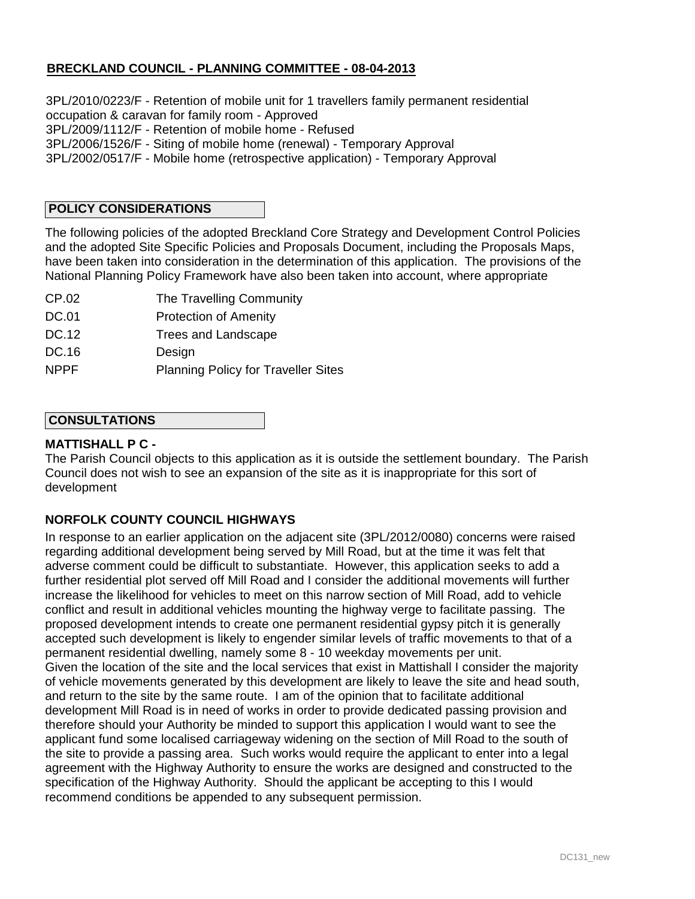3PL/2010/0223/F - Retention of mobile unit for 1 travellers family permanent residential occupation & caravan for family room - Approved 3PL/2009/1112/F - Retention of mobile home - Refused 3PL/2006/1526/F - Siting of mobile home (renewal) - Temporary Approval 3PL/2002/0517/F - Mobile home (retrospective application) - Temporary Approval

## **POLICY CONSIDERATIONS**

The following policies of the adopted Breckland Core Strategy and Development Control Policies and the adopted Site Specific Policies and Proposals Document, including the Proposals Maps, have been taken into consideration in the determination of this application. The provisions of the National Planning Policy Framework have also been taken into account, where appropriate

- CP.02 The Travelling Community
- DC.01 Protection of Amenity
- DC.12 Trees and Landscape
- DC.16 **Design**
- NPPF Planning Policy for Traveller Sites

### **CONSULTATIONS**

### **MATTISHALL P C -**

The Parish Council objects to this application as it is outside the settlement boundary. The Parish Council does not wish to see an expansion of the site as it is inappropriate for this sort of development

## **NORFOLK COUNTY COUNCIL HIGHWAYS**

In response to an earlier application on the adjacent site (3PL/2012/0080) concerns were raised regarding additional development being served by Mill Road, but at the time it was felt that adverse comment could be difficult to substantiate. However, this application seeks to add a further residential plot served off Mill Road and I consider the additional movements will further increase the likelihood for vehicles to meet on this narrow section of Mill Road, add to vehicle conflict and result in additional vehicles mounting the highway verge to facilitate passing. The proposed development intends to create one permanent residential gypsy pitch it is generally accepted such development is likely to engender similar levels of traffic movements to that of a permanent residential dwelling, namely some 8 - 10 weekday movements per unit. Given the location of the site and the local services that exist in Mattishall I consider the majority of vehicle movements generated by this development are likely to leave the site and head south, and return to the site by the same route. I am of the opinion that to facilitate additional development Mill Road is in need of works in order to provide dedicated passing provision and therefore should your Authority be minded to support this application I would want to see the applicant fund some localised carriageway widening on the section of Mill Road to the south of the site to provide a passing area. Such works would require the applicant to enter into a legal agreement with the Highway Authority to ensure the works are designed and constructed to the specification of the Highway Authority. Should the applicant be accepting to this I would recommend conditions be appended to any subsequent permission.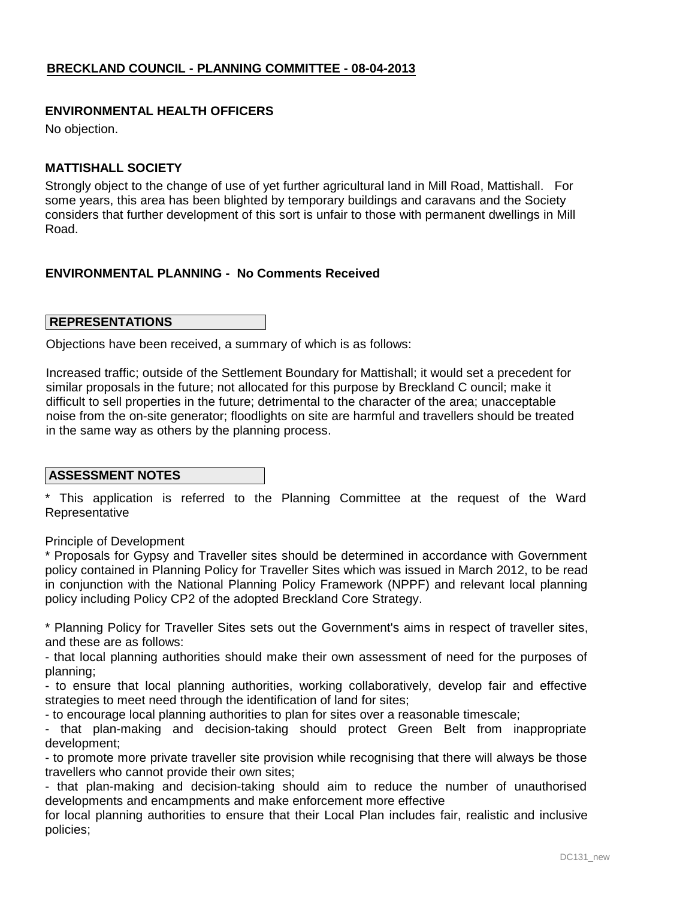### **ENVIRONMENTAL HEALTH OFFICERS**

No objection.

### **MATTISHALL SOCIETY**

Strongly object to the change of use of yet further agricultural land in Mill Road, Mattishall. For some years, this area has been blighted by temporary buildings and caravans and the Society considers that further development of this sort is unfair to those with permanent dwellings in Mill Road.

### **ENVIRONMENTAL PLANNING - No Comments Received**

### **REPRESENTATIONS**

Objections have been received, a summary of which is as follows:

Increased traffic; outside of the Settlement Boundary for Mattishall; it would set a precedent for similar proposals in the future; not allocated for this purpose by Breckland C ouncil; make it difficult to sell properties in the future; detrimental to the character of the area; unacceptable noise from the on-site generator; floodlights on site are harmful and travellers should be treated in the same way as others by the planning process.

### **ASSESSMENT NOTES**

\* This application is referred to the Planning Committee at the request of the Ward **Representative** 

Principle of Development

\* Proposals for Gypsy and Traveller sites should be determined in accordance with Government policy contained in Planning Policy for Traveller Sites which was issued in March 2012, to be read in conjunction with the National Planning Policy Framework (NPPF) and relevant local planning policy including Policy CP2 of the adopted Breckland Core Strategy.

\* Planning Policy for Traveller Sites sets out the Government's aims in respect of traveller sites, and these are as follows:

- that local planning authorities should make their own assessment of need for the purposes of planning;

- to ensure that local planning authorities, working collaboratively, develop fair and effective strategies to meet need through the identification of land for sites;

- to encourage local planning authorities to plan for sites over a reasonable timescale;

- that plan-making and decision-taking should protect Green Belt from inappropriate development;

- to promote more private traveller site provision while recognising that there will always be those travellers who cannot provide their own sites;

- that plan-making and decision-taking should aim to reduce the number of unauthorised developments and encampments and make enforcement more effective

for local planning authorities to ensure that their Local Plan includes fair, realistic and inclusive policies;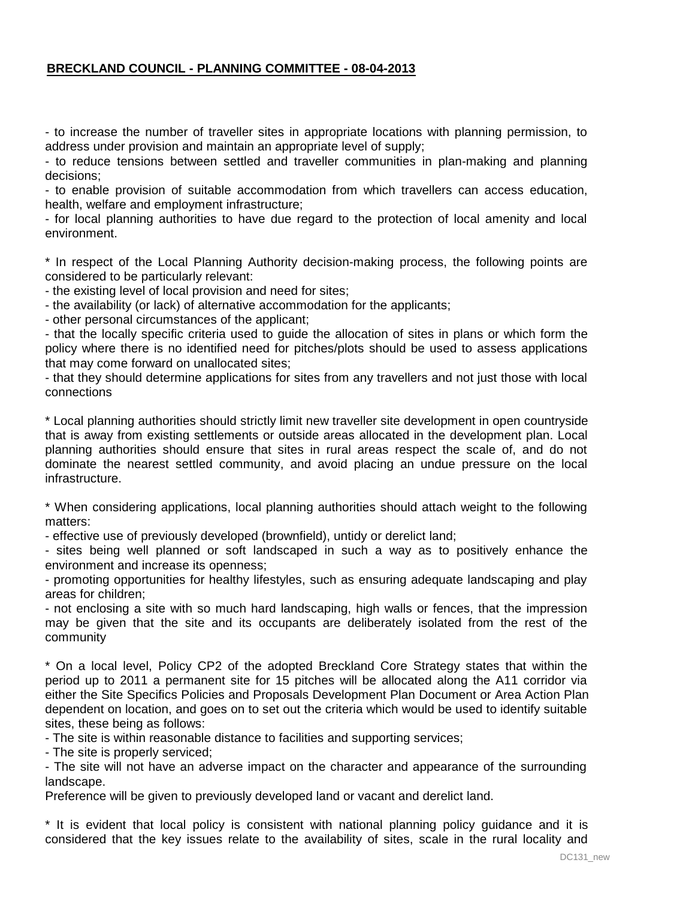- to increase the number of traveller sites in appropriate locations with planning permission, to address under provision and maintain an appropriate level of supply;

- to reduce tensions between settled and traveller communities in plan-making and planning decisions;

- to enable provision of suitable accommodation from which travellers can access education, health, welfare and employment infrastructure;

- for local planning authorities to have due regard to the protection of local amenity and local environment.

\* In respect of the Local Planning Authority decision-making process, the following points are considered to be particularly relevant:

- the existing level of local provision and need for sites;

- the availability (or lack) of alternative accommodation for the applicants;

- other personal circumstances of the applicant;

- that the locally specific criteria used to guide the allocation of sites in plans or which form the policy where there is no identified need for pitches/plots should be used to assess applications that may come forward on unallocated sites;

- that they should determine applications for sites from any travellers and not just those with local connections

\* Local planning authorities should strictly limit new traveller site development in open countryside that is away from existing settlements or outside areas allocated in the development plan. Local planning authorities should ensure that sites in rural areas respect the scale of, and do not dominate the nearest settled community, and avoid placing an undue pressure on the local infrastructure.

\* When considering applications, local planning authorities should attach weight to the following matters:

- effective use of previously developed (brownfield), untidy or derelict land;

- sites being well planned or soft landscaped in such a way as to positively enhance the environment and increase its openness;

- promoting opportunities for healthy lifestyles, such as ensuring adequate landscaping and play areas for children;

- not enclosing a site with so much hard landscaping, high walls or fences, that the impression may be given that the site and its occupants are deliberately isolated from the rest of the community

\* On a local level, Policy CP2 of the adopted Breckland Core Strategy states that within the period up to 2011 a permanent site for 15 pitches will be allocated along the A11 corridor via either the Site Specifics Policies and Proposals Development Plan Document or Area Action Plan dependent on location, and goes on to set out the criteria which would be used to identify suitable sites, these being as follows:

- The site is within reasonable distance to facilities and supporting services;

- The site is properly serviced;

- The site will not have an adverse impact on the character and appearance of the surrounding landscape.

Preference will be given to previously developed land or vacant and derelict land.

\* It is evident that local policy is consistent with national planning policy guidance and it is considered that the key issues relate to the availability of sites, scale in the rural locality and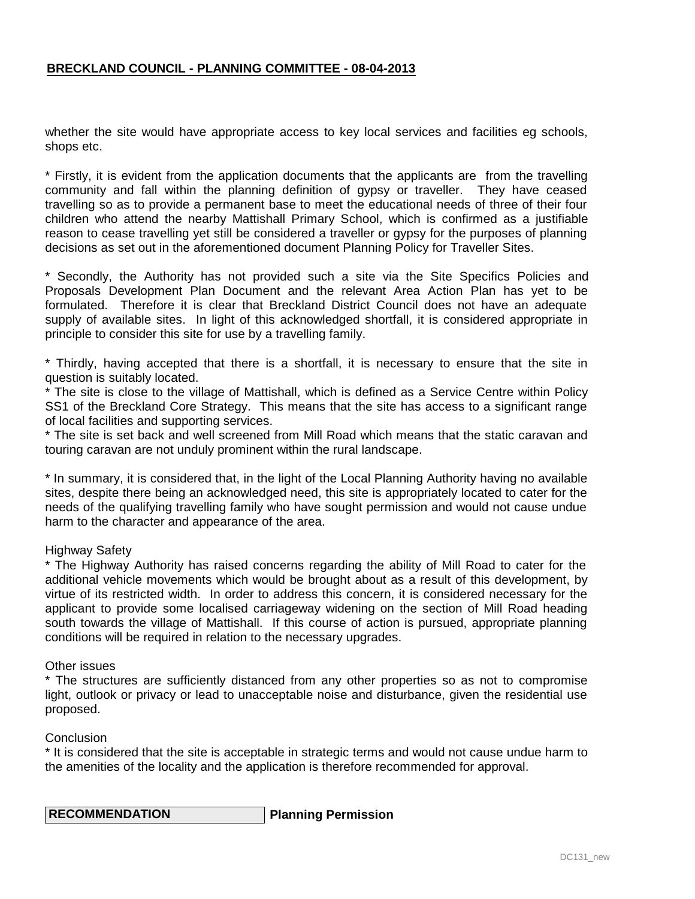whether the site would have appropriate access to key local services and facilities eg schools, shops etc.

\* Firstly, it is evident from the application documents that the applicants are from the travelling community and fall within the planning definition of gypsy or traveller. They have ceased travelling so as to provide a permanent base to meet the educational needs of three of their four children who attend the nearby Mattishall Primary School, which is confirmed as a justifiable reason to cease travelling yet still be considered a traveller or gypsy for the purposes of planning decisions as set out in the aforementioned document Planning Policy for Traveller Sites.

\* Secondly, the Authority has not provided such a site via the Site Specifics Policies and Proposals Development Plan Document and the relevant Area Action Plan has yet to be formulated. Therefore it is clear that Breckland District Council does not have an adequate supply of available sites. In light of this acknowledged shortfall, it is considered appropriate in principle to consider this site for use by a travelling family.

\* Thirdly, having accepted that there is a shortfall, it is necessary to ensure that the site in question is suitably located.

\* The site is close to the village of Mattishall, which is defined as a Service Centre within Policy SS1 of the Breckland Core Strategy. This means that the site has access to a significant range of local facilities and supporting services.

\* The site is set back and well screened from Mill Road which means that the static caravan and touring caravan are not unduly prominent within the rural landscape.

\* In summary, it is considered that, in the light of the Local Planning Authority having no available sites, despite there being an acknowledged need, this site is appropriately located to cater for the needs of the qualifying travelling family who have sought permission and would not cause undue harm to the character and appearance of the area.

### Highway Safety

\* The Highway Authority has raised concerns regarding the ability of Mill Road to cater for the additional vehicle movements which would be brought about as a result of this development, by virtue of its restricted width. In order to address this concern, it is considered necessary for the applicant to provide some localised carriageway widening on the section of Mill Road heading south towards the village of Mattishall. If this course of action is pursued, appropriate planning conditions will be required in relation to the necessary upgrades.

#### Other issues

\* The structures are sufficiently distanced from any other properties so as not to compromise light, outlook or privacy or lead to unacceptable noise and disturbance, given the residential use proposed.

### **Conclusion**

\* It is considered that the site is acceptable in strategic terms and would not cause undue harm to the amenities of the locality and the application is therefore recommended for approval.

 **RECOMMENDATION Planning Permission**